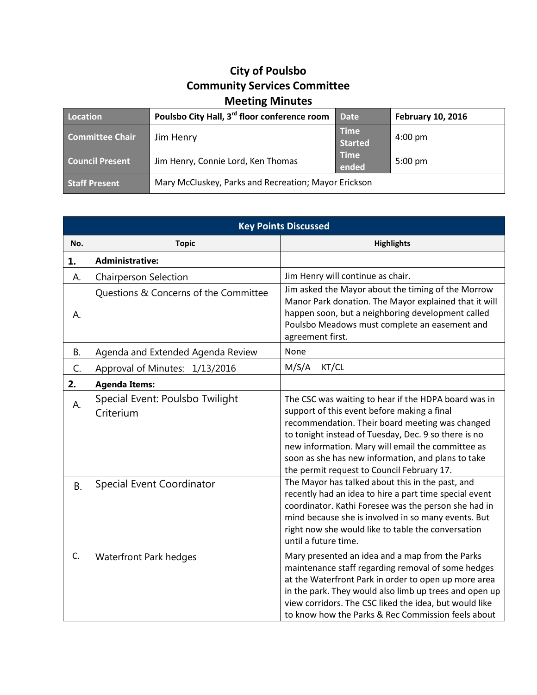## **City of Poulsbo Community Services Committee Meeting Minutes**

| Location               | Poulsbo City Hall, 3 <sup>rd</sup> floor conference room | <b>Date</b>                   | <b>February 10, 2016</b> |
|------------------------|----------------------------------------------------------|-------------------------------|--------------------------|
| <b>Committee Chair</b> | Jim Henry                                                | <b>Time</b><br><b>Started</b> | $4:00 \text{ pm}$        |
| <b>Council Present</b> | Jim Henry, Connie Lord, Ken Thomas                       | <b>Time</b><br>ended          | $5:00 \text{ pm}$        |
| <b>Staff Present</b>   | Mary McCluskey, Parks and Recreation; Mayor Erickson     |                               |                          |

| <b>Key Points Discussed</b> |                                              |                                                                                                                                                                                                                                                                                                                                                                         |  |  |
|-----------------------------|----------------------------------------------|-------------------------------------------------------------------------------------------------------------------------------------------------------------------------------------------------------------------------------------------------------------------------------------------------------------------------------------------------------------------------|--|--|
| No.                         | <b>Topic</b>                                 | <b>Highlights</b>                                                                                                                                                                                                                                                                                                                                                       |  |  |
| 1.                          | <b>Administrative:</b>                       |                                                                                                                                                                                                                                                                                                                                                                         |  |  |
| А.                          | <b>Chairperson Selection</b>                 | Jim Henry will continue as chair.                                                                                                                                                                                                                                                                                                                                       |  |  |
| А.                          | Questions & Concerns of the Committee        | Jim asked the Mayor about the timing of the Morrow<br>Manor Park donation. The Mayor explained that it will<br>happen soon, but a neighboring development called<br>Poulsbo Meadows must complete an easement and<br>agreement first.                                                                                                                                   |  |  |
| <b>B.</b>                   | Agenda and Extended Agenda Review            | None                                                                                                                                                                                                                                                                                                                                                                    |  |  |
| C.                          | Approval of Minutes: 1/13/2016               | M/S/A<br>KT/CL                                                                                                                                                                                                                                                                                                                                                          |  |  |
| 2.                          | <b>Agenda Items:</b>                         |                                                                                                                                                                                                                                                                                                                                                                         |  |  |
| А.                          | Special Event: Poulsbo Twilight<br>Criterium | The CSC was waiting to hear if the HDPA board was in<br>support of this event before making a final<br>recommendation. Their board meeting was changed<br>to tonight instead of Tuesday, Dec. 9 so there is no<br>new information. Mary will email the committee as<br>soon as she has new information, and plans to take<br>the permit request to Council February 17. |  |  |
| <b>B.</b>                   | <b>Special Event Coordinator</b>             | The Mayor has talked about this in the past, and<br>recently had an idea to hire a part time special event<br>coordinator. Kathi Foresee was the person she had in<br>mind because she is involved in so many events. But<br>right now she would like to table the conversation<br>until a future time.                                                                 |  |  |
| C.                          | Waterfront Park hedges                       | Mary presented an idea and a map from the Parks<br>maintenance staff regarding removal of some hedges<br>at the Waterfront Park in order to open up more area<br>in the park. They would also limb up trees and open up<br>view corridors. The CSC liked the idea, but would like<br>to know how the Parks & Rec Commission feels about                                 |  |  |